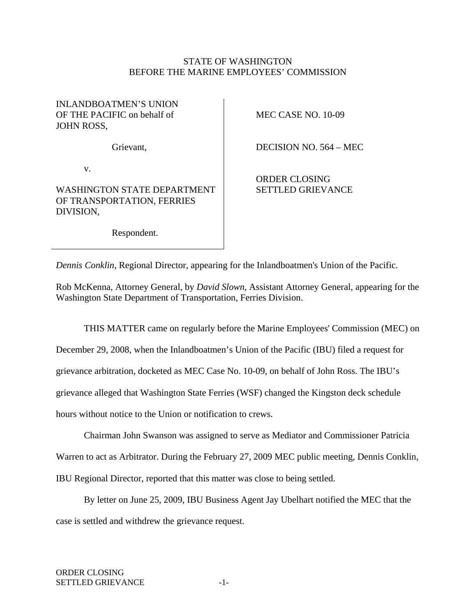## STATE OF WASHINGTON BEFORE THE MARINE EMPLOYEES' COMMISSION

## INLANDBOATMEN'S UNION OF THE PACIFIC on behalf of JOHN ROSS,

Grievant,

v.

WASHINGTON STATE DEPARTMENT OF TRANSPORTATION, FERRIES DIVISION,

MEC CASE NO. 10-09

DECISION NO. 564 – MEC

ORDER CLOSING SETTLED GRIEVANCE

Respondent.

*Dennis Conklin*, Regional Director, appearing for the Inlandboatmen's Union of the Pacific.

Rob McKenna, Attorney General, by *David Slown*, Assistant Attorney General, appearing for the Washington State Department of Transportation, Ferries Division.

THIS MATTER came on regularly before the Marine Employees' Commission (MEC) on

December 29, 2008, when the Inlandboatmen's Union of the Pacific (IBU) filed a request for

grievance arbitration, docketed as MEC Case No. 10-09, on behalf of John Ross. The IBU's

grievance alleged that Washington State Ferries (WSF) changed the Kingston deck schedule

hours without notice to the Union or notification to crews.

 Chairman John Swanson was assigned to serve as Mediator and Commissioner Patricia Warren to act as Arbitrator. During the February 27, 2009 MEC public meeting, Dennis Conklin,

IBU Regional Director, reported that this matter was close to being settled.

 By letter on June 25, 2009, IBU Business Agent Jay Ubelhart notified the MEC that the case is settled and withdrew the grievance request.